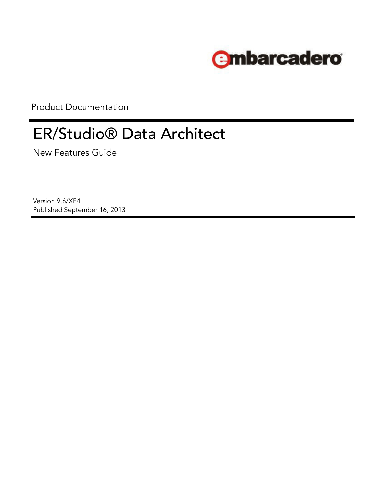

Product Documentation

# ER/Studio® Data Architect

New Features Guide

Version 9.6/XE4 Published September 16, 2013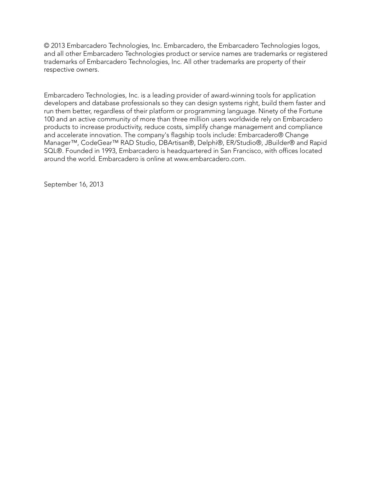© 2013 Embarcadero Technologies, Inc. Embarcadero, the Embarcadero Technologies logos, and all other Embarcadero Technologies product or service names are trademarks or registered trademarks of Embarcadero Technologies, Inc. All other trademarks are property of their respective owners.

Embarcadero Technologies, Inc. is a leading provider of award-winning tools for application developers and database professionals so they can design systems right, build them faster and run them better, regardless of their platform or programming language. Ninety of the Fortune 100 and an active community of more than three million users worldwide rely on Embarcadero products to increase productivity, reduce costs, simplify change management and compliance and accelerate innovation. The company's flagship tools include: Embarcadero® Change Manager™, CodeGear™ RAD Studio, DBArtisan®, Delphi®, ER/Studio®, JBuilder® and Rapid SQL®. Founded in 1993, Embarcadero is headquartered in San Francisco, with offices located around the world. Embarcadero is online at www.embarcadero.com.

September 16, 2013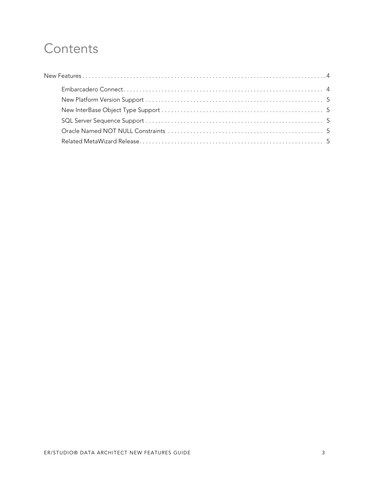# **Contents**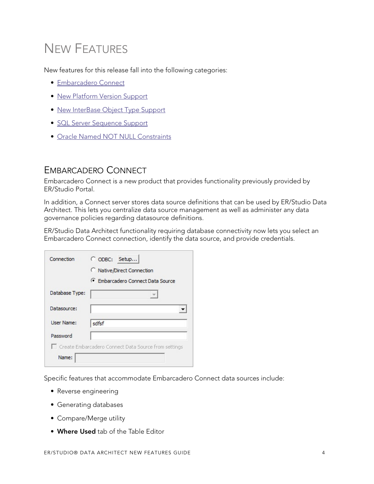# <span id="page-3-0"></span>NEW FEATURES

New features for this release fall into the following categories:

- [Embarcadero Connect](#page-3-1)
- [New Platform Version Support](#page-4-0)
- [New InterBase Object Type Support](#page-4-1)
- [SQL Server Sequence Support](#page-4-2)
- [Oracle Named NOT NULL Constraints](#page-4-3)

### <span id="page-3-1"></span>EMBARCADERO CONNECT

Embarcadero Connect is a new product that provides functionality previously provided by ER/Studio Portal.

In addition, a Connect server stores data source definitions that can be used by ER/Studio Data Architect. This lets you centralize data source management as well as administer any data governance policies regarding datasource definitions.

ER/Studio Data Architect functionality requiring database connectivity now lets you select an Embarcadero Connect connection, identify the data source, and provide credentials.

| Connection        | C ODBC: Setup                                          |
|-------------------|--------------------------------------------------------|
|                   | C Native/Direct Connection                             |
|                   | C Embarcadero Connect Data Source                      |
| Database Type:    |                                                        |
| Datasource:       |                                                        |
|                   |                                                        |
| <b>User Name:</b> | sdfsf                                                  |
| Password          |                                                        |
|                   | □ Create Embarcadero Connect Data Source from settings |

Specific features that accommodate Embarcadero Connect data sources include:

- Reverse engineering
- Generating databases
- Compare/Merge utility
- **Where Used** tab of the Table Editor